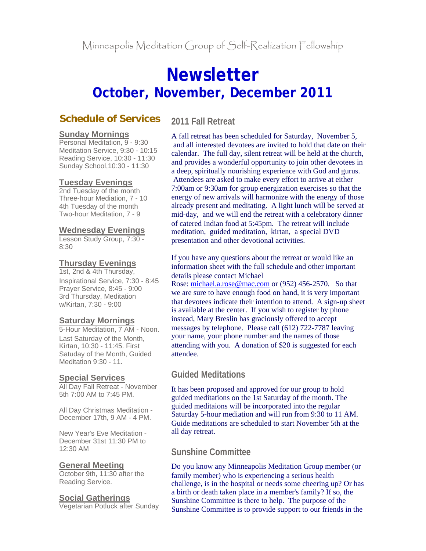# **Newsletter October, November, December 2011**

# **Schedule of Services**

#### **Sunday Mornings**

Personal Meditation, 9 - 9:30 Meditation Service, 9:30 - 10:15 Reading Service, 10:30 - 11:30 Sunday School,10:30 - 11:30

## **Tuesday Evenings**

2nd Tuesday of the month Three-hour Mediation, 7 - 10 4th Tuesday of the month Two-hour Meditation, 7 - 9

#### **Wednesday Evenings**

Lesson Study Group, 7:30 - 8:30

### **Thursday Evenings**

1st, 2nd & 4th Thursday, Inspirational Service, 7:30 - 8:45 Prayer Service, 8:45 - 9:00 3rd Thursday, Meditation w/Kirtan, 7:30 - 9:00

#### **Saturday Mornings**

5-Hour Meditation, 7 AM - Noon. Last Saturday of the Month, Kirtan, 10:30 - 11:45. First Satuday of the Month, Guided Meditation 9:30 - 11.

## **Special Services**

All Day Fall Retreat - November 5th 7:00 AM to 7:45 PM.

All Day Christmas Meditation - December 17th, 9 AM - 4 PM.

New Year's Eve Meditation - December 31st 11:30 PM to 12:30 AM

#### **General Meeting**

October 9th, 11:30 after the Reading Service.

#### **Social Gatherings**

Vegetarian Potluck after Sunday

# **2011 Fall Retreat**

A fall retreat has been scheduled for Saturday, November 5, and all interested devotees are invited to hold that date on their calendar. The full day, silent retreat will be held at the church, and provides a wonderful opportunity to join other devotees in a deep, spiritually nourishing experience with God and gurus. Attendees are asked to make every effort to arrive at either 7:00am or 9:30am for group energization exercises so that the energy of new arrivals will harmonize with the energy of those already present and meditating. A light lunch will be served at mid-day, and we will end the retreat with a celebratory dinner of catered Indian food at 5:45pm. The retreat will include meditation, guided meditation, kirtan, a special DVD presentation and other devotional activities.

If you have any questions about the retreat or would like an information sheet with the full schedule and other important details please contact Michael

Rose: michael.a.rose@mac.com or (952) 456-2570. So that we are sure to have enough food on hand, it is very important that devotees indicate their intention to attend. A sign-up sheet is available at the center. If you wish to register by phone instead, Mary Breslin has graciously offered to accept messages by telephone. Please call (612) 722-7787 leaving your name, your phone number and the names of those attending with you. A donation of \$20 is suggested for each attendee.

# **Guided Meditations**

It has been proposed and approved for our group to hold guided meditations on the 1st Saturday of the month. The guided meditaions will be incorporated into the regular Saturday 5-hour mediation and will run from 9:30 to 11 AM. Guide meditations are scheduled to start November 5th at the all day retreat.

# **Sunshine Committee**

Do you know any Minneapolis Meditation Group member (or family member) who is experiencing a serious health challenge, is in the hospital or needs some cheering up? Or has a birth or death taken place in a member's family? If so, the Sunshine Committee is there to help. The purpose of the Sunshine Committee is to provide support to our friends in the